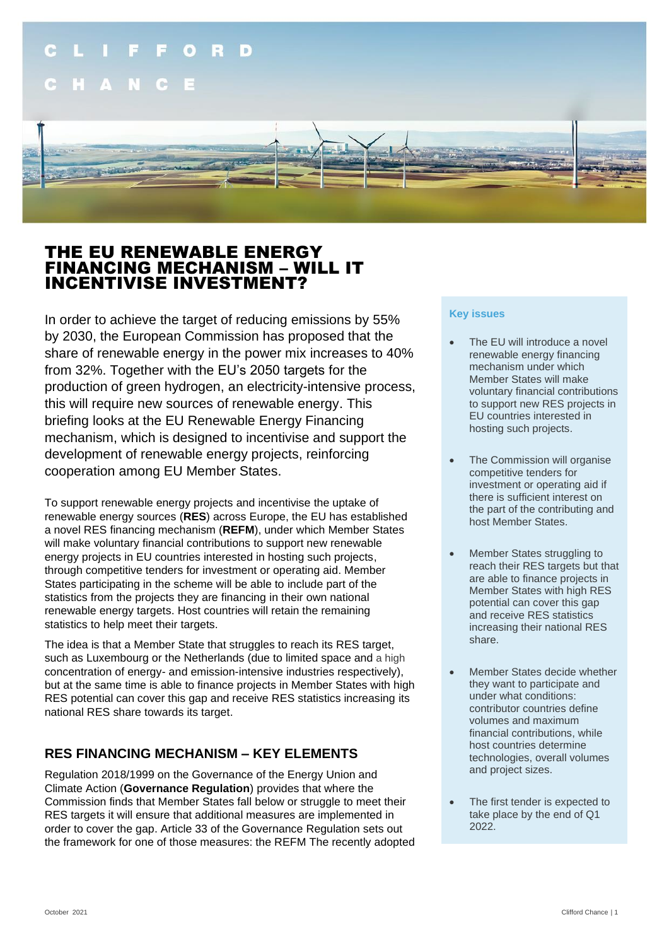

# THE EU RENEWABLE ENERGY FINANCING MECHANISM – WILL IT INCENTIVISE INVESTMENT?

In order to achieve the target of reducing emissions by 55% by 2030, the European Commission has proposed that the share of renewable energy in the power mix increases to 40% from 32%. Together with the EU's 2050 targets for the production of green hydrogen, an electricity-intensive process, this will require new sources of renewable energy. This briefing looks at the EU Renewable Energy Financing mechanism, which is designed to incentivise and support the development of renewable energy projects, reinforcing cooperation among EU Member States.

To support renewable energy projects and incentivise the uptake of renewable energy sources (**RES**) across Europe, the EU has established a novel RES financing mechanism (**REFM**), under which Member States will make voluntary financial contributions to support new renewable energy projects in EU countries interested in hosting such projects, through competitive tenders for investment or operating aid. Member States participating in the scheme will be able to include part of the statistics from the projects they are financing in their own national renewable energy targets. Host countries will retain the remaining statistics to help meet their targets.

The idea is that a Member State that struggles to reach its RES target, such as Luxembourg or the Netherlands (due to limited space and a high concentration of energy- and emission-intensive industries respectively), but at the same time is able to finance projects in Member States with high RES potential can cover this gap and receive RES statistics increasing its national RES share towards its target.

## **RES FINANCING MECHANISM – KEY ELEMENTS**

Regulation 2018/1999 on the Governance of the Energy Union and Climate Action (**Governance Regulation**) provides that where the Commission finds that Member States fall below or struggle to meet their RES targets it will ensure that additional measures are implemented in order to cover the gap. Article 33 of the Governance Regulation sets out the framework for one of those measures: the REFM The recently adopted

#### **Key issues**

- The EU will introduce a novel renewable energy financing mechanism under which Member States will make voluntary financial contributions to support new RES projects in EU countries interested in hosting such projects.
- The Commission will organise competitive tenders for investment or operating aid if there is sufficient interest on the part of the contributing and host Member States.
- Member States struggling to reach their RES targets but that are able to finance projects in Member States with high RES potential can cover this gap and receive RES statistics increasing their national RES share.
- Member States decide whether they want to participate and under what conditions: contributor countries define volumes and maximum financial contributions, while host countries determine technologies, overall volumes and project sizes.
- The first tender is expected to take place by the end of Q1 2022.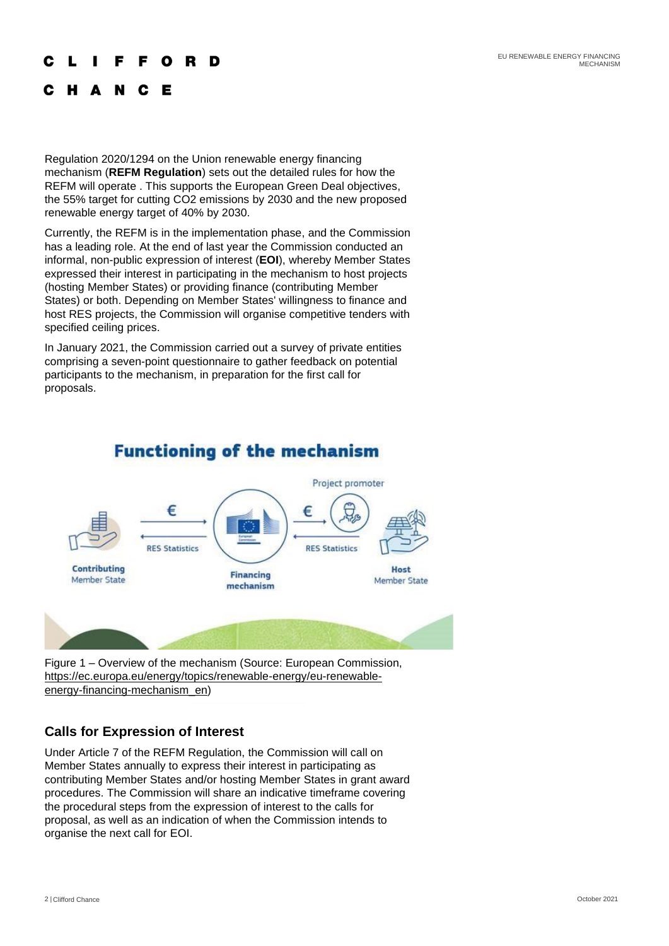EU RENEWABLE ENERGY FINANCING MECHANISM

#### C R

#### C H A N C F

Regulation 2020/1294 on the Union renewable energy financing mechanism (**REFM Regulation**) sets out the detailed rules for how the REFM will operate . This supports the European Green Deal objectives, the 55% target for cutting CO2 emissions by 2030 and the new proposed renewable energy target of 40% by 2030.

Currently, the REFM is in the implementation phase, and the Commission has a leading role. At the end of last year the Commission conducted an informal, non-public expression of interest (**EOI**), whereby Member States expressed their interest in participating in the mechanism to host projects (hosting Member States) or providing finance (contributing Member States) or both. Depending on Member States' willingness to finance and host RES projects, the Commission will organise competitive tenders with specified ceiling prices.

In January 2021, the Commission carried out a survey of private entities comprising a seven-point questionnaire to gather feedback on potential participants to the mechanism, in preparation for the first call for proposals.



# **Functioning of the mechanism**

Figure 1 – Overview of the mechanism (Source: European Commission, [https://ec.europa.eu/energy/topics/renewable-energy/eu-renewable](https://ec.europa.eu/energy/topics/renewable-energy/eu-renewable-energy-financing-mechanism_en)[energy-financing-mechanism\\_en\)](https://ec.europa.eu/energy/topics/renewable-energy/eu-renewable-energy-financing-mechanism_en)

### **Calls for Expression of Interest**

Under Article 7 of the REFM Regulation, the Commission will call on Member States annually to express their interest in participating as contributing Member States and/or hosting Member States in grant award procedures. The Commission will share an indicative timeframe covering the procedural steps from the expression of interest to the calls for proposal, as well as an indication of when the Commission intends to organise the next call for EOI.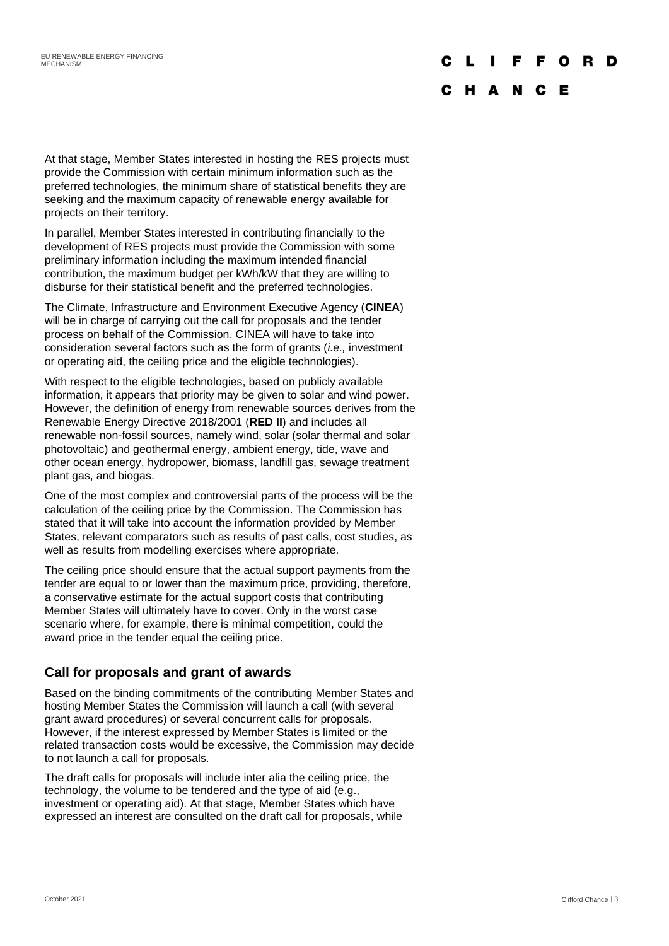# F F O

### C H A N C E

At that stage, Member States interested in hosting the RES projects must provide the Commission with certain minimum information such as the preferred technologies, the minimum share of statistical benefits they are seeking and the maximum capacity of renewable energy available for projects on their territory.

In parallel, Member States interested in contributing financially to the development of RES projects must provide the Commission with some preliminary information including the maximum intended financial contribution, the maximum budget per kWh/kW that they are willing to disburse for their statistical benefit and the preferred technologies.

The Climate, Infrastructure and Environment Executive Agency (**CINEA**) will be in charge of carrying out the call for proposals and the tender process on behalf of the Commission. CINEA will have to take into consideration several factors such as the form of grants (*i.e.,* investment or operating aid, the ceiling price and the eligible technologies).

With respect to the eligible technologies, based on publicly available information, it appears that priority may be given to solar and wind power. However, the definition of energy from renewable sources derives from the Renewable Energy Directive 2018/2001 (**RED II**) and includes all renewable non-fossil sources, namely wind, solar (solar thermal and solar photovoltaic) and geothermal energy, ambient energy, tide, wave and other ocean energy, hydropower, biomass, landfill gas, sewage treatment plant gas, and biogas.

One of the most complex and controversial parts of the process will be the calculation of the ceiling price by the Commission. The Commission has stated that it will take into account the information provided by Member States, relevant comparators such as results of past calls, cost studies, as well as results from modelling exercises where appropriate.

The ceiling price should ensure that the actual support payments from the tender are equal to or lower than the maximum price, providing, therefore, a conservative estimate for the actual support costs that contributing Member States will ultimately have to cover. Only in the worst case scenario where, for example, there is minimal competition, could the award price in the tender equal the ceiling price.

### **Call for proposals and grant of awards**

Based on the binding commitments of the contributing Member States and hosting Member States the Commission will launch a call (with several grant award procedures) or several concurrent calls for proposals. However, if the interest expressed by Member States is limited or the related transaction costs would be excessive, the Commission may decide to not launch a call for proposals.

The draft calls for proposals will include inter alia the ceiling price, the technology, the volume to be tendered and the type of aid (e.g., investment or operating aid). At that stage, Member States which have expressed an interest are consulted on the draft call for proposals, while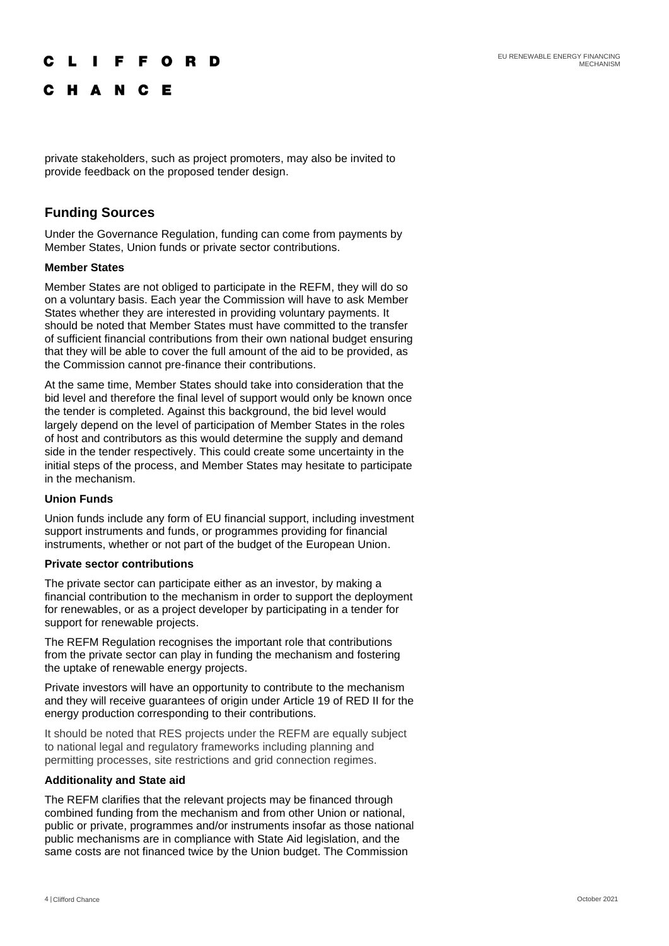### LIFFORD

C H A N C E

private stakeholders, such as project promoters, may also be invited to provide feedback on the proposed tender design.

### **Funding Sources**

Under the Governance Regulation, funding can come from payments by Member States, Union funds or private sector contributions.

#### **Member States**

Member States are not obliged to participate in the REFM, they will do so on a voluntary basis. Each year the Commission will have to ask Member States whether they are interested in providing voluntary payments. It should be noted that Member States must have committed to the transfer of sufficient financial contributions from their own national budget ensuring that they will be able to cover the full amount of the aid to be provided, as the Commission cannot pre-finance their contributions.

At the same time, Member States should take into consideration that the bid level and therefore the final level of support would only be known once the tender is completed. Against this background, the bid level would largely depend on the level of participation of Member States in the roles of host and contributors as this would determine the supply and demand side in the tender respectively. This could create some uncertainty in the initial steps of the process, and Member States may hesitate to participate in the mechanism.

#### **Union Funds**

Union funds include any form of EU financial support, including investment support instruments and funds, or programmes providing for financial instruments, whether or not part of the budget of the European Union.

#### **Private sector contributions**

The private sector can participate either as an investor, by making a financial contribution to the mechanism in order to support the deployment for renewables, or as a project developer by participating in a tender for support for renewable projects.

The REFM Regulation recognises the important role that contributions from the private sector can play in funding the mechanism and fostering the uptake of renewable energy projects.

Private investors will have an opportunity to contribute to the mechanism and they will receive guarantees of origin under Article 19 of RED II for the energy production corresponding to their contributions.

It should be noted that RES projects under the REFM are equally subject to national legal and regulatory frameworks including planning and permitting processes, site restrictions and grid connection regimes.

#### **Additionality and State aid**

The REFM clarifies that the relevant projects may be financed through combined funding from the mechanism and from other Union or national, public or private, programmes and/or instruments insofar as those national public mechanisms are in compliance with State Aid legislation, and the same costs are not financed twice by the Union budget. The Commission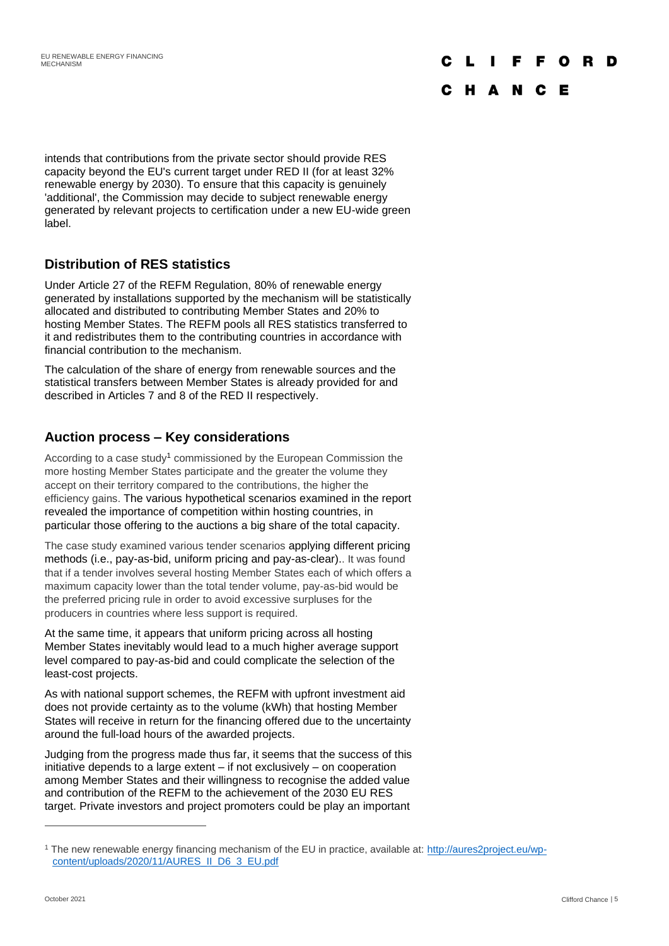#### F F O R D  $\mathbf{I}$

### C H A N C E

intends that contributions from the private sector should provide RES capacity beyond the EU's current target under RED II (for at least 32% renewable energy by 2030). To ensure that this capacity is genuinely 'additional', the Commission may decide to subject renewable energy generated by relevant projects to certification under a new EU-wide green label.

### **Distribution of RES statistics**

Under Article 27 of the REFM Regulation, 80% of renewable energy generated by installations supported by the mechanism will be statistically allocated and distributed to contributing Member States and 20% to hosting Member States. The REFM pools all RES statistics transferred to it and redistributes them to the contributing countries in accordance with financial contribution to the mechanism.

The calculation of the share of energy from renewable sources and the statistical transfers between Member States is already provided for and described in Articles 7 and 8 of the RED II respectively.

## **Auction process – Key considerations**

According to a case study<sup>1</sup> commissioned by the European Commission the more hosting Member States participate and the greater the volume they accept on their territory compared to the contributions, the higher the efficiency gains. The various hypothetical scenarios examined in the report revealed the importance of competition within hosting countries, in particular those offering to the auctions a big share of the total capacity.

The case study examined various tender scenarios applying different pricing methods (i.e., pay-as-bid, uniform pricing and pay-as-clear).. It was found that if a tender involves several hosting Member States each of which offers a maximum capacity lower than the total tender volume, pay-as-bid would be the preferred pricing rule in order to avoid excessive surpluses for the producers in countries where less support is required.

At the same time, it appears that uniform pricing across all hosting Member States inevitably would lead to a much higher average support level compared to pay-as-bid and could complicate the selection of the least-cost projects.

As with national support schemes, the REFM with upfront investment aid does not provide certainty as to the volume (kWh) that hosting Member States will receive in return for the financing offered due to the uncertainty around the full-load hours of the awarded projects.

Judging from the progress made thus far, it seems that the success of this initiative depends to a large extent – if not exclusively – on cooperation among Member States and their willingness to recognise the added value and contribution of the REFM to the achievement of the 2030 EU RES target. Private investors and project promoters could be play an important

<sup>&</sup>lt;sup>1</sup> The new renewable energy financing mechanism of the EU in practice, available at: [http://aures2project.eu/wp](http://aures2project.eu/wp-content/uploads/2020/11/AURES_II_D6_3_EU.pdf)[content/uploads/2020/11/AURES\\_II\\_D6\\_3\\_EU.pdf](http://aures2project.eu/wp-content/uploads/2020/11/AURES_II_D6_3_EU.pdf)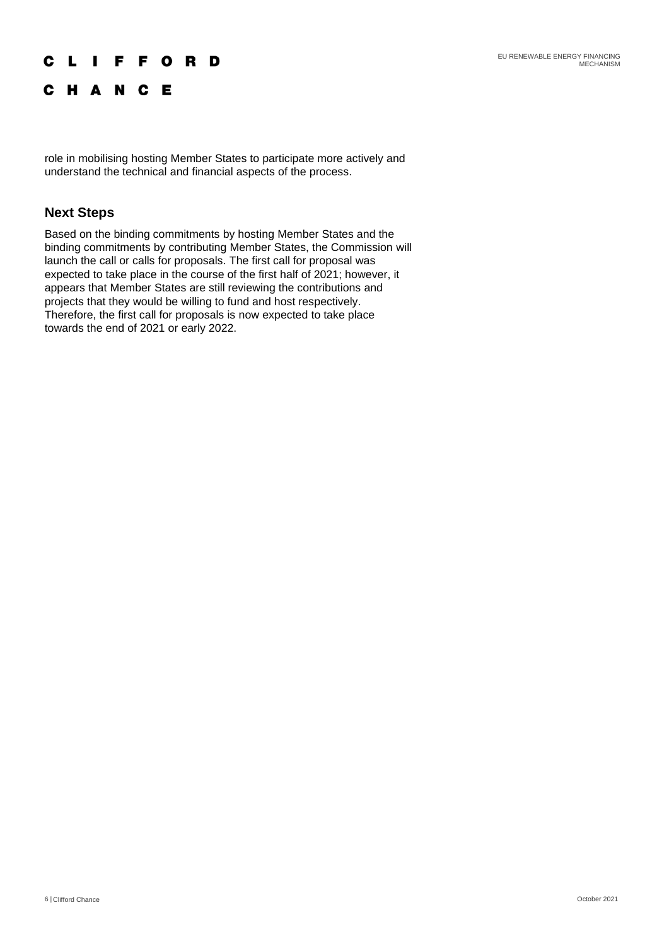### **CLIFFORD**

C H A N C E

role in mobilising hosting Member States to participate more actively and understand the technical and financial aspects of the process.

### **Next Steps**

Based on the binding commitments by hosting Member States and the binding commitments by contributing Member States, the Commission will launch the call or calls for proposals. The first call for proposal was expected to take place in the course of the first half of 2021; however, it appears that Member States are still reviewing the contributions and projects that they would be willing to fund and host respectively. Therefore, the first call for proposals is now expected to take place towards the end of 2021 or early 2022.